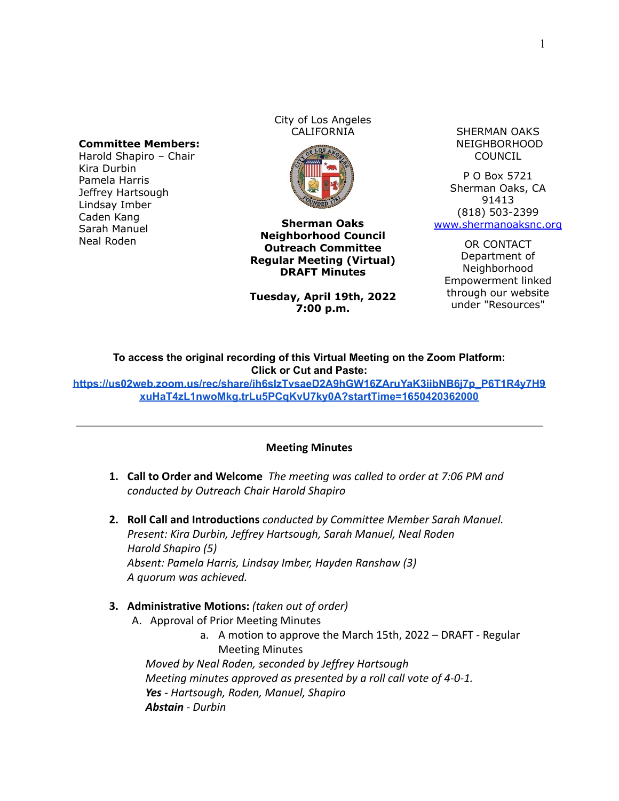## **Committee Members:**

Harold Shapiro – Chair Kira Durbin Pamela Harris Jeffrey Hartsough Lindsay Imber Caden Kang Sarah Manuel Neal Roden

City of Los Angeles



**Sherman Oaks Neighborhood Council Outreach Committee Regular Meeting (Virtual) DRAFT Minutes**

**Tuesday, April 19th, 2022 7:00 p.m.**

CALIFORNIA SHERMAN OAKS NEIGHBORHOOD COUNCIL

> P O Box 5721 Sherman Oaks, CA 91413 (818) 503-2399 [www.shermanoaksnc.org](http://www.shermanoaksnc.org/)

OR CONTACT Department of Neighborhood Empowerment linked through our website under "Resources"

**To access the original recording of this Virtual Meeting on the Zoom Platform: Click or Cut and Paste:**

**[https://us02web.zoom.us/rec/share/ih6sIzTvsaeD2A9hGW16ZAruYaK3iibNB6j7p\\_P6T1R4y7H9](https://us02web.zoom.us/rec/share/ih6sIzTvsaeD2A9hGW16ZAruYaK3iibNB6j7p_P6T1R4y7H9xuHaT4zL1nwoMkg.trLu5PCqKvU7ky0A?startTime=1650420362000) [xuHaT4zL1nwoMkg.trLu5PCqKvU7ky0A?startTime=1650420362000](https://us02web.zoom.us/rec/share/ih6sIzTvsaeD2A9hGW16ZAruYaK3iibNB6j7p_P6T1R4y7H9xuHaT4zL1nwoMkg.trLu5PCqKvU7ky0A?startTime=1650420362000)**

## **Meeting Minutes**

- **1. Call to Order and Welcome** *The meeting was called to order at 7:06 PM and conducted by Outreach Chair Harold Shapiro*
- **2. Roll Call and Introductions** *conducted by Committee Member Sarah Manuel. Present: Kira Durbin, Jeffrey Hartsough, Sarah Manuel, Neal Roden Harold Shapiro (5) Absent: Pamela Harris, Lindsay Imber, Hayden Ranshaw (3) A quorum was achieved.*

## **3. Administrative Motions:** *(taken out of order)*

- A. Approval of Prior Meeting Minutes
	- a. A motion to approve the March 15th, 2022 DRAFT Regular Meeting Minutes

*Moved by Neal Roden, seconded by Jeffrey Hartsough Meeting minutes approved as presented by a roll call vote of 4-0-1. Yes - Hartsough, Roden, Manuel, Shapiro Abstain - Durbin*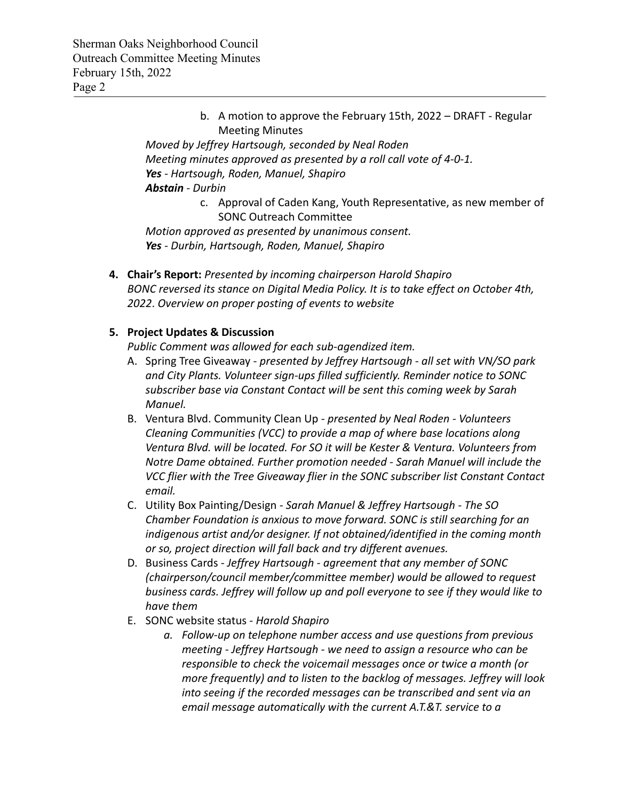b. A motion to approve the February 15th, 2022 – DRAFT - Regular Meeting Minutes

*Moved by Jeffrey Hartsough, seconded by Neal Roden Meeting minutes approved as presented by a roll call vote of 4-0-1. Yes - Hartsough, Roden, Manuel, Shapiro Abstain - Durbin*

c. Approval of Caden Kang, Youth Representative, as new member of SONC Outreach Committee

*Motion approved as presented by unanimous consent. Yes - Durbin, Hartsough, Roden, Manuel, Shapiro*

**4. Chair's Report:** *Presented by incoming chairperson Harold Shapiro BONC reversed its stance on Digital Media Policy. It is to take effect on October 4th, 2022*. *Overview on proper posting of events to website*

## **5. Project Updates & Discussion**

*Public Comment was allowed for each sub-agendized item.*

- A. Spring Tree Giveaway *presented by Jeffrey Hartsough all set with VN/SO park and City Plants. Volunteer sign-ups filled sufficiently. Reminder notice to SONC subscriber base via Constant Contact will be sent this coming week by Sarah Manuel.*
- B. Ventura Blvd. Community Clean Up *presented by Neal Roden Volunteers Cleaning Communities (VCC) to provide a map of where base locations along Ventura Blvd. will be located. For SO it will be Kester & Ventura. Volunteers from Notre Dame obtained. Further promotion needed - Sarah Manuel will include the VCC flier with the Tree Giveaway flier in the SONC subscriber list Constant Contact email.*
- C. Utility Box Painting/Design *Sarah Manuel & Jeffrey Hartsough The SO Chamber Foundation is anxious to move forward. SONC is still searching for an indigenous artist and/or designer. If not obtained/identified in the coming month or so, project direction will fall back and try different avenues.*
- D. Business Cards *Jeffrey Hartsough agreement that any member of SONC (chairperson/council member/committee member) would be allowed to request business cards. Jeffrey will follow up and poll everyone to see if they would like to have them*
- E. SONC website status *Harold Shapiro*
	- *a. Follow-up on telephone number access and use questions from previous meeting - Jeffrey Hartsough - we need to assign a resource who can be responsible to check the voicemail messages once or twice a month (or more frequently) and to listen to the backlog of messages. Jeffrey will look into seeing if the recorded messages can be transcribed and sent via an email message automatically with the current A.T.&T. service to a*